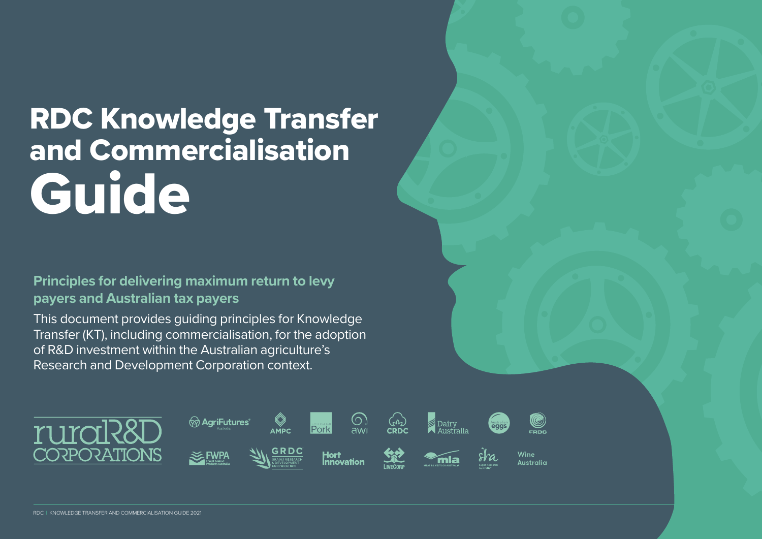# RDC Knowledge Transfer and Commercialisation Guide

#### **Principles for delivering maximum return to levy payers and Australian tax payers**

This document provides guiding principles for Knowledge Transfer (KT), including commercialisation, for the adoption of R&D investment within the Australian agriculture's Research and Development Corporation context.

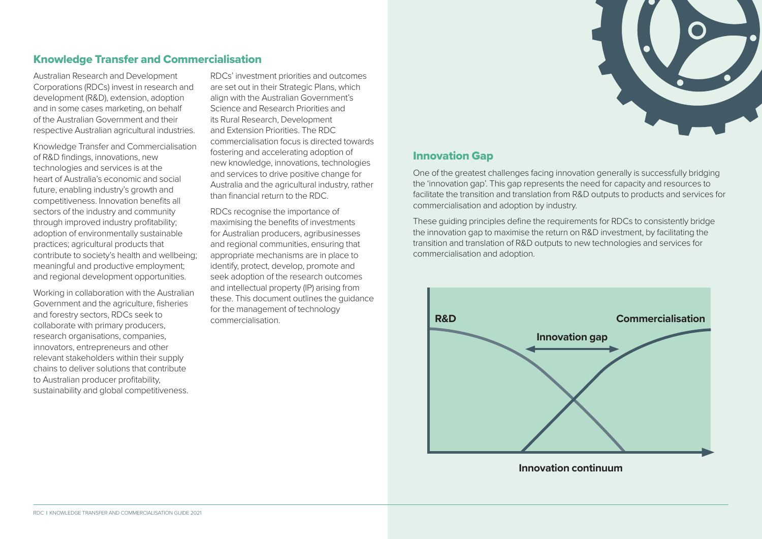

#### Knowledge Transfer and Commercialisation

Australian Research and Development Corporations (RDCs) invest in research and development (R&D), extension, adoption and in some cases marketing, on behalf of the Australian Government and their respective Australian agricultural industries.

Knowledge Transfer and Commercialisation of R&D findings, innovations, new technologies and services is at the heart of Australia's economic and social future, enabling industry's growth and competitiveness. Innovation benefits all sectors of the industry and community through improved industry profitability; adoption of environmentally sustainable practices; agricultural products that contribute to society's health and wellbeing; meaningful and productive employment; and regional development opportunities.

Working in collaboration with the Australian Government and the agriculture, fisheries and forestry sectors, RDCs seek to collaborate with primary producers, research organisations, companies, innovators, entrepreneurs and other relevant stakeholders within their supply chains to deliver solutions that contribute to Australian producer profitability, sustainability and global competitiveness.

RDCs' investment priorities and outcomes are set out in their Strategic Plans, which align with the Australian Government's Science and Research Priorities and its Rural Research, Development and Extension Priorities. The RDC commercialisation focus is directed towards fostering and accelerating adoption of new knowledge, innovations, technologies and services to drive positive change for Australia and the agricultural industry, rather than financial return to the RDC.

RDCs recognise the importance of maximising the benefits of investments for Australian producers, agribusinesses and regional communities, ensuring that appropriate mechanisms are in place to identify, protect, develop, promote and seek adoption of the research outcomes and intellectual property (IP) arising from these. This document outlines the guidance for the management of technology commercialisation.

#### Innovation Gap

One of the greatest challenges facing innovation generally is successfully bridging the 'innovation gap'. This gap represents the need for capacity and resources to facilitate the transition and translation from R&D outputs to products and services for commercialisation and adoption by industry.

These guiding principles define the requirements for RDCs to consistently bridge the innovation gap to maximise the return on R&D investment, by facilitating the transition and translation of R&D outputs to new technologies and services for commercialisation and adoption.



**Innovation continuum**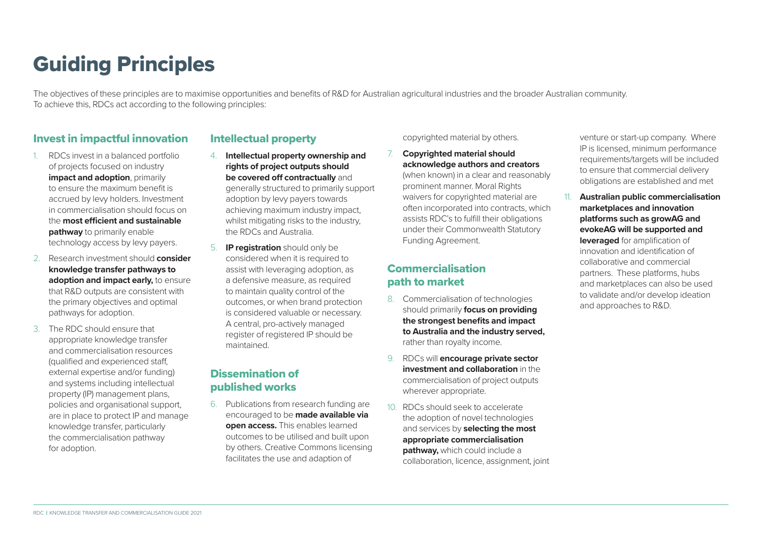# Guiding Principles

The objectives of these principles are to maximise opportunities and benefits of R&D for Australian agricultural industries and the broader Australian community. To achieve this, RDCs act according to the following principles:

#### Invest in impactful innovation

- 1. RDCs invest in a balanced portfolio of projects focused on industry **impact and adoption**, primarily to ensure the maximum benefit is accrued by levy holders. Investment in commercialisation should focus on the **most efficient and sustainable pathway** to primarily enable technology access by levy payers.
- 2. Research investment should **consider knowledge transfer pathways to adoption and impact early,** to ensure that R&D outputs are consistent with the primary objectives and optimal pathways for adoption.
- 3. The RDC should ensure that appropriate knowledge transfer and commercialisation resources (qualified and experienced staff, external expertise and/or funding) and systems including intellectual property (IP) management plans, policies and organisational support, are in place to protect IP and manage knowledge transfer, particularly the commercialisation pathway for adoption.

#### Intellectual property

- 4. **Intellectual property ownership and rights of project outputs should be covered off contractually** and generally structured to primarily support adoption by levy payers towards achieving maximum industry impact, whilst mitigating risks to the industry, the RDCs and Australia.
- 5. **IP registration** should only be considered when it is required to assist with leveraging adoption, as a defensive measure, as required to maintain quality control of the outcomes, or when brand protection is considered valuable or necessary. A central, pro-actively managed register of registered IP should be maintained.

#### Dissemination of published works

6. Publications from research funding are encouraged to be **made available via open access.** This enables learned outcomes to be utilised and built upon by others. Creative Commons licensing facilitates the use and adaption of

#### copyrighted material by others.

7. **Copyrighted material should acknowledge authors and creators**  (when known) in a clear and reasonably prominent manner. Moral Rights waivers for copyrighted material are often incorporated into contracts, which assists RDC's to fulfill their obligations under their Commonwealth Statutory Funding Agreement.

#### Commercialisation path to market

- 8. Commercialisation of technologies should primarily **focus on providing the strongest benefits and impact to Australia and the industry served,** rather than royalty income.
- 9. RDCs will **encourage private sector investment and collaboration** in the commercialisation of project outputs wherever appropriate.
- 10. RDCs should seek to accelerate the adoption of novel technologies and services by **selecting the most appropriate commercialisation pathway,** which could include a collaboration, licence, assignment, joint

venture or start-up company. Where IP is licensed, minimum performance requirements/targets will be included to ensure that commercial delivery obligations are established and met

11. **Australian public commercialisation marketplaces and innovation platforms such as growAG and evokeAG will be supported and leveraged** for amplification of innovation and identification of collaborative and commercial partners. These platforms, hubs and marketplaces can also be used to validate and/or develop ideation and approaches to R&D.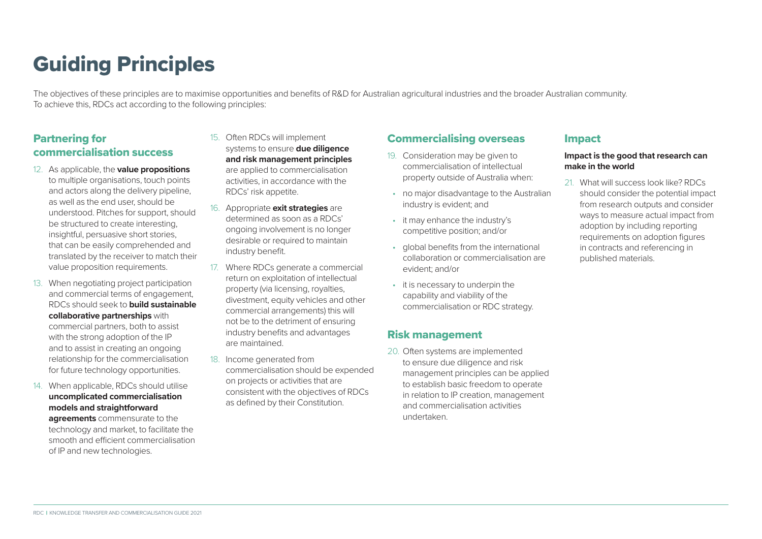# Guiding Principles

The objectives of these principles are to maximise opportunities and benefits of R&D for Australian agricultural industries and the broader Australian community. To achieve this, RDCs act according to the following principles:

#### Partnering for commercialisation success

- 12. As applicable, the **value propositions**  to multiple organisations, touch points and actors along the delivery pipeline, as well as the end user, should be understood. Pitches for support, should be structured to create interesting, insightful, persuasive short stories, that can be easily comprehended and translated by the receiver to match their value proposition requirements.
- 13. When negotiating project participation and commercial terms of engagement, RDCs should seek to **build sustainable collaborative partnerships** with commercial partners, both to assist with the strong adoption of the IP and to assist in creating an ongoing relationship for the commercialisation for future technology opportunities.
- 14. When applicable, RDCs should utilise **uncomplicated commercialisation models and straightforward**

**agreements** commensurate to the technology and market, to facilitate the smooth and efficient commercialisation of IP and new technologies.

- 15. Often RDCs will implement systems to ensure **due diligence and risk management principles** are applied to commercialisation activities, in accordance with the RDCs' risk appetite.
- 16. Appropriate **exit strategies** are determined as soon as a RDCs' ongoing involvement is no longer desirable or required to maintain industry benefit.
- 17. Where RDCs generate a commercial return on exploitation of intellectual property (via licensing, royalties, divestment, equity vehicles and other commercial arrangements) this will not be to the detriment of ensuring industry benefits and advantages are maintained.
- 18. Income generated from commercialisation should be expended on projects or activities that are consistent with the objectives of RDCs as defined by their Constitution.

#### Commercialising overseas

- 19. Consideration may be given to commercialisation of intellectual property outside of Australia when:
- no major disadvantage to the Australian industry is evident; and
- it may enhance the industry's competitive position; and/or
- global benefits from the international collaboration or commercialisation are evident; and/or
- it is necessary to underpin the capability and viability of the commercialisation or RDC strategy.

#### Risk management

20. Often systems are implemented to ensure due diligence and risk management principles can be applied to establish basic freedom to operate in relation to IP creation, management and commercialisation activities undertaken.

#### Impact

#### **Impact is the good that research can make in the world**

21. What will success look like? RDCs should consider the potential impact from research outputs and consider ways to measure actual impact from adoption by including reporting requirements on adoption figures in contracts and referencing in published materials.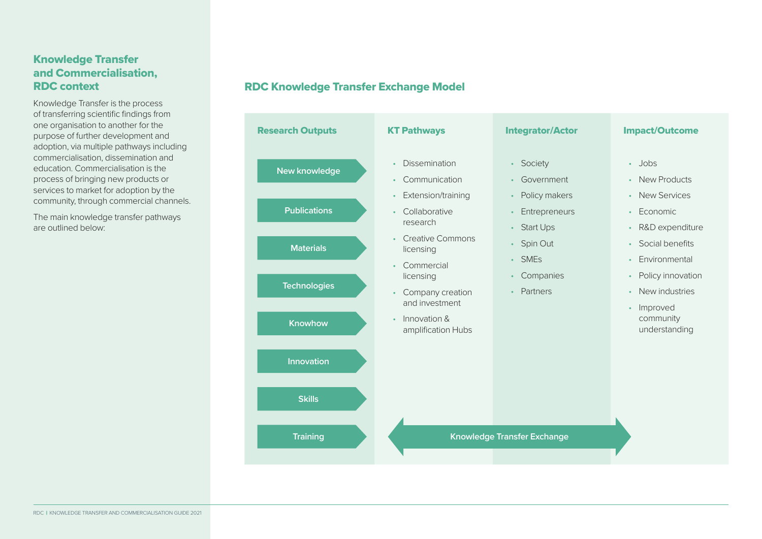#### Knowledge Transfer and Commercialisation, RDC context

Knowledge Transfer is the process of transferring scientific findings from one organisation to another for the purpose of further development and adoption, via multiple pathways including commercialisation, dissemination and education. Commercialisation is the process of bringing new products or services to market for adoption by the community, through commercial channels.

The main knowledge transfer pathways are outlined below:

#### RDC Knowledge Transfer Exchange Model

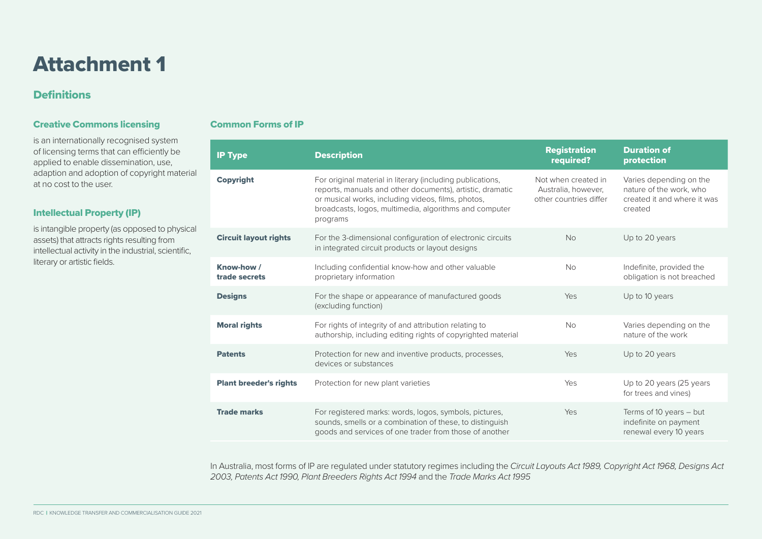### Attachment 1

#### **Definitions**

#### Creative Commons licensing

is an internationally recognised system of licensing terms that can efficiently be applied to enable dissemination, use, adaption and adoption of copyright material at no cost to the user.

#### Intellectual Property (IP)

is intangible property (as opposed to physical assets) that attracts rights resulting from intellectual activity in the industrial, scientific, literary or artistic fields.

#### Common Forms of IP

| <b>IP Type</b>                | <b>Description</b>                                                                                                                                                                                                                                  | <b>Registration</b><br>required?                                     | <b>Duration of</b><br>protection                                                             |
|-------------------------------|-----------------------------------------------------------------------------------------------------------------------------------------------------------------------------------------------------------------------------------------------------|----------------------------------------------------------------------|----------------------------------------------------------------------------------------------|
| <b>Copyright</b>              | For original material in literary (including publications,<br>reports, manuals and other documents), artistic, dramatic<br>or musical works, including videos, films, photos,<br>broadcasts, logos, multimedia, algorithms and computer<br>programs | Not when created in<br>Australia, however,<br>other countries differ | Varies depending on the<br>nature of the work, who<br>created it and where it was<br>created |
| <b>Circuit layout rights</b>  | For the 3-dimensional configuration of electronic circuits<br>in integrated circuit products or layout designs                                                                                                                                      | <b>No</b>                                                            | Up to 20 years                                                                               |
| Know-how /<br>trade secrets   | Including confidential know-how and other valuable<br>proprietary information                                                                                                                                                                       | <b>No</b>                                                            | Indefinite, provided the<br>obligation is not breached                                       |
| <b>Designs</b>                | For the shape or appearance of manufactured goods<br>(excluding function)                                                                                                                                                                           | Yes                                                                  | Up to 10 years                                                                               |
| <b>Moral rights</b>           | For rights of integrity of and attribution relating to<br>authorship, including editing rights of copyrighted material                                                                                                                              | <b>No</b>                                                            | Varies depending on the<br>nature of the work                                                |
| <b>Patents</b>                | Protection for new and inventive products, processes,<br>devices or substances                                                                                                                                                                      | Yes                                                                  | Up to 20 years                                                                               |
| <b>Plant breeder's rights</b> | Protection for new plant varieties                                                                                                                                                                                                                  | Yes                                                                  | Up to 20 years (25 years<br>for trees and vines)                                             |
| <b>Trade marks</b>            | For registered marks: words, logos, symbols, pictures,<br>sounds, smells or a combination of these, to distinguish<br>goods and services of one trader from those of another                                                                        | Yes                                                                  | Terms of 10 years - but<br>indefinite on payment<br>renewal every 10 years                   |

In Australia, most forms of IP are regulated under statutory regimes including the *Circuit Layouts Act 1989, Copyright Act 1968, Designs Act 2003, Patents Act 1990, Plant Breeders Rights Act 1994* and the *Trade Marks Act 1995*